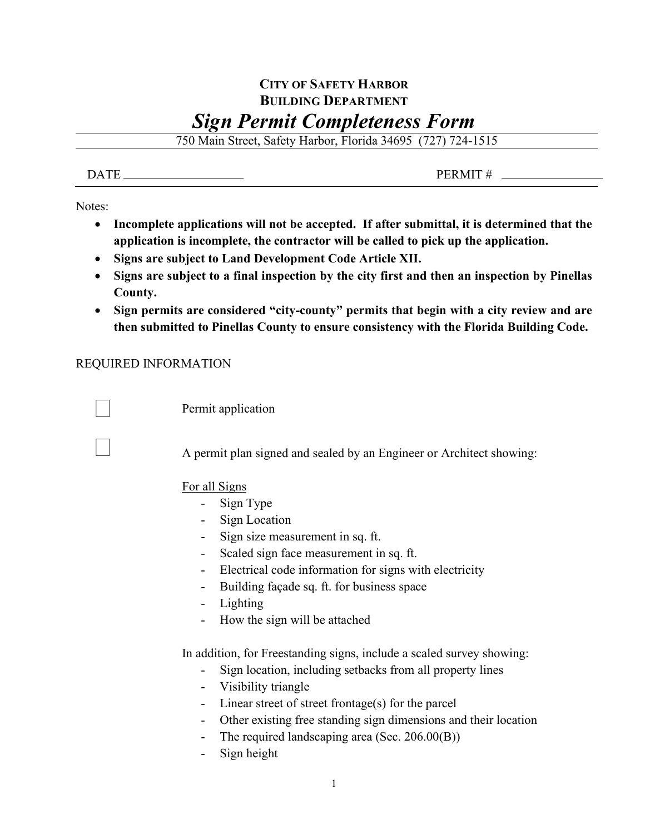## **CITY OF SAFETY HARBOR BUILDING DEPARTMENT** *Sign Permit Completeness Form*

750 Main Street, Safety Harbor, Florida 34695 (727) 724-1515

 $\overline{DATE}$  PERMIT # \_

Notes:

- **Incomplete applications will not be accepted. If after submittal, it is determined that the application is incomplete, the contractor will be called to pick up the application.**
- **Signs are subject to Land Development Code Article XII.**
- **Signs are subject to a final inspection by the city first and then an inspection by Pinellas County.**
- **Sign permits are considered "city-county" permits that begin with a city review and are then submitted to Pinellas County to ensure consistency with the Florida Building Code.**

## REQUIRED INFORMATION

Permit application

A permit plan signed and sealed by an Engineer or Architect showing:

For all Signs

- Sign Type
- Sign Location
- Sign size measurement in sq. ft.
- Scaled sign face measurement in sq. ft.
- Electrical code information for signs with electricity
- Building façade sq. ft. for business space
- Lighting
- How the sign will be attached

In addition, for Freestanding signs, include a scaled survey showing:

- Sign location, including setbacks from all property lines
- Visibility triangle
- Linear street of street frontage(s) for the parcel
- Other existing free standing sign dimensions and their location
- The required landscaping area (Sec. 206.00(B))
- Sign height